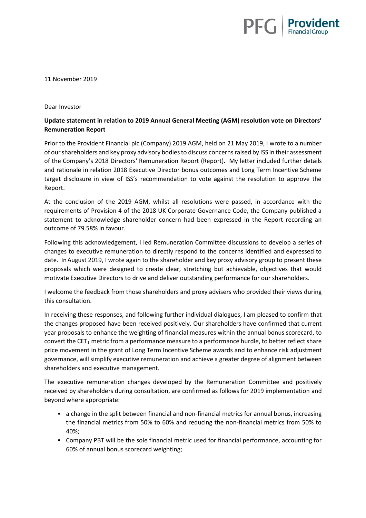

11 November 2019

## Dear Investor

## **Update statement in relation to 2019 Annual General Meeting (AGM) resolution vote on Directors' Remuneration Report**

Prior to the Provident Financial plc (Company) 2019 AGM, held on 21 May 2019, I wrote to a number of our shareholders and key proxy advisory bodies to discuss concerns raised by ISS in their assessment of the Company's 2018 Directors' Remuneration Report (Report). My letter included further details and rationale in relation 2018 Executive Director bonus outcomes and Long Term Incentive Scheme target disclosure in view of ISS's recommendation to vote against the resolution to approve the Report.

At the conclusion of the 2019 AGM, whilst all resolutions were passed, in accordance with the requirements of Provision 4 of the 2018 UK Corporate Governance Code, the Company published a statement to acknowledge shareholder concern had been expressed in the Report recording an outcome of 79.58% in favour.

Following this acknowledgement, I led Remuneration Committee discussions to develop a series of changes to executive remuneration to directly respond to the concerns identified and expressed to date. InAugust 2019, I wrote again to the shareholder and key proxy advisory group to present these proposals which were designed to create clear, stretching but achievable, objectives that would motivate Executive Directors to drive and deliver outstanding performance for our shareholders.

I welcome the feedback from those shareholders and proxy advisers who provided their views during this consultation.

In receiving these responses, and following further individual dialogues, I am pleased to confirm that the changes proposed have been received positively. Our shareholders have confirmed that current year proposals to enhance the weighting of financial measures within the annual bonus scorecard, to convert the CET<sub>1</sub> metric from a performance measure to a performance hurdle, to better reflect share price movement in the grant of Long Term Incentive Scheme awards and to enhance risk adjustment governance, will simplify executive remuneration and achieve a greater degree of alignment between shareholders and executive management.

The executive remuneration changes developed by the Remuneration Committee and positively received by shareholders during consultation, are confirmed as follows for 2019 implementation and beyond where appropriate:

- a change in the split between financial and non-financial metrics for annual bonus, increasing the financial metrics from 50% to 60% and reducing the non-financial metrics from 50% to 40%;
- Company PBT will be the sole financial metric used for financial performance, accounting for 60% of annual bonus scorecard weighting;